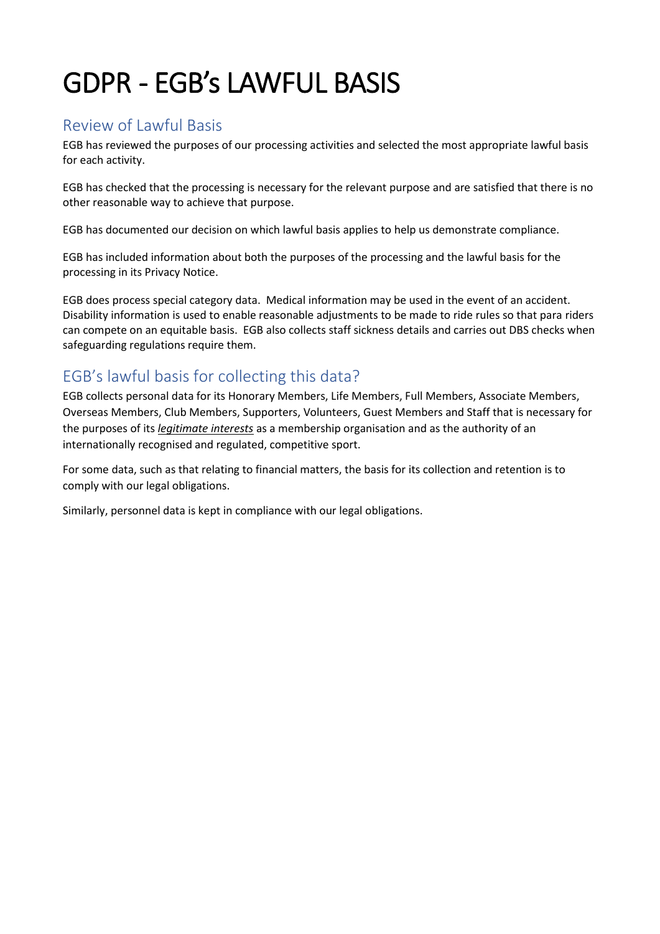## GDPR - EGB's LAWFUL BASIS

## Review of Lawful Basis

EGB has reviewed the purposes of our processing activities and selected the most appropriate lawful basis for each activity.

EGB has checked that the processing is necessary for the relevant purpose and are satisfied that there is no other reasonable way to achieve that purpose.

EGB has documented our decision on which lawful basis applies to help us demonstrate compliance.

EGB has included information about both the purposes of the processing and the lawful basis for the processing in its Privacy Notice.

EGB does process special category data. Medical information may be used in the event of an accident. Disability information is used to enable reasonable adjustments to be made to ride rules so that para riders can compete on an equitable basis. EGB also collects staff sickness details and carries out DBS checks when safeguarding regulations require them.

## EGB's lawful basis for collecting this data?

EGB collects personal data for its Honorary Members, Life Members, Full Members, Associate Members, Overseas Members, Club Members, Supporters, Volunteers, Guest Members and Staff that is necessary for the purposes of its *legitimate interests* as a membership organisation and as the authority of an internationally recognised and regulated, competitive sport.

For some data, such as that relating to financial matters, the basis for its collection and retention is to comply with our legal obligations.

Similarly, personnel data is kept in compliance with our legal obligations.